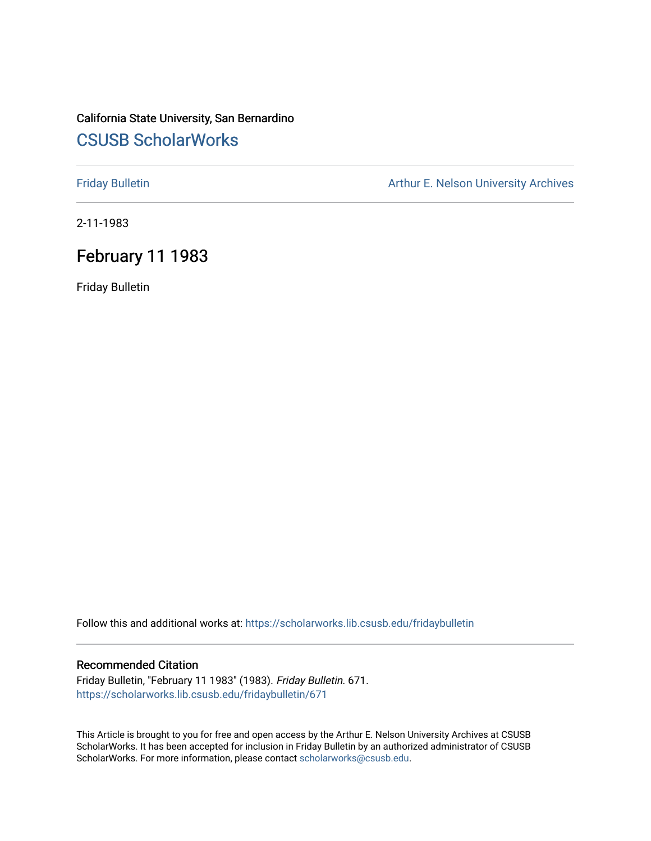# California State University, San Bernardino [CSUSB ScholarWorks](https://scholarworks.lib.csusb.edu/)

[Friday Bulletin](https://scholarworks.lib.csusb.edu/fridaybulletin) **Arthur E. Nelson University Archives** Arthur E. Nelson University Archives

2-11-1983

## February 11 1983

Friday Bulletin

Follow this and additional works at: [https://scholarworks.lib.csusb.edu/fridaybulletin](https://scholarworks.lib.csusb.edu/fridaybulletin?utm_source=scholarworks.lib.csusb.edu%2Ffridaybulletin%2F671&utm_medium=PDF&utm_campaign=PDFCoverPages)

### Recommended Citation

Friday Bulletin, "February 11 1983" (1983). Friday Bulletin. 671. [https://scholarworks.lib.csusb.edu/fridaybulletin/671](https://scholarworks.lib.csusb.edu/fridaybulletin/671?utm_source=scholarworks.lib.csusb.edu%2Ffridaybulletin%2F671&utm_medium=PDF&utm_campaign=PDFCoverPages)

This Article is brought to you for free and open access by the Arthur E. Nelson University Archives at CSUSB ScholarWorks. It has been accepted for inclusion in Friday Bulletin by an authorized administrator of CSUSB ScholarWorks. For more information, please contact [scholarworks@csusb.edu.](mailto:scholarworks@csusb.edu)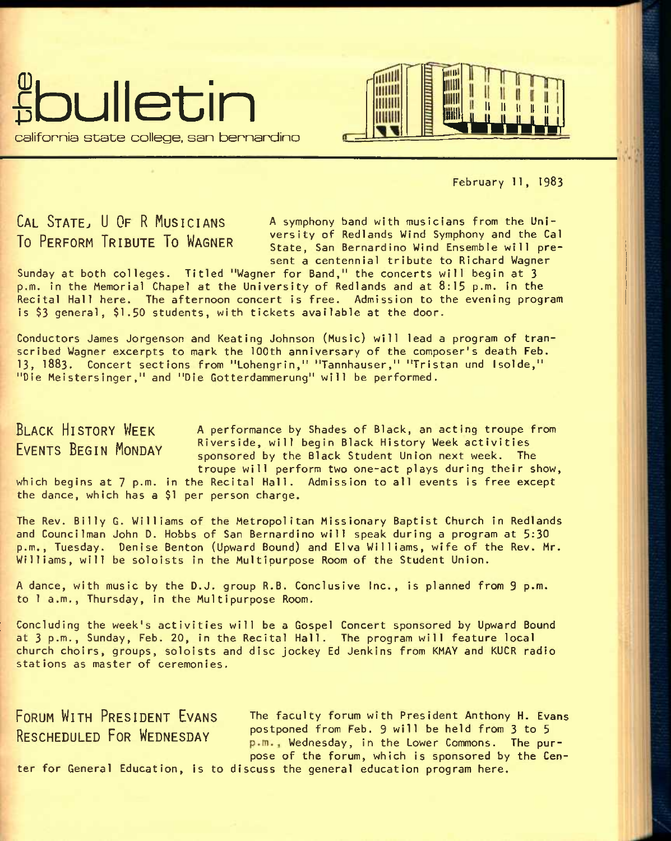



February 11, 1983

**CAL STATE, U OF R MUSICIANS** A symphony band with musicians from the Uni-<br>To Perseasy Teneries To Wassexty of Redlands Wind Symphony and the Cal TO PERFORM TRIBUTE TO WAGNER **The State, San Bernardino Wind Symphony and the Cal** bresent a centennial tribute to Richard Wagner

Sunday at both colleges. Titled "Wagner for Band," the concerts will begin at 3 p.m. in the Memorial Chapel at the University of Redlands and at 8:15 p.m. In the Recital Hall here. The afternoon concert is free. Admission to the evening program is \$3 general, \$1.50 students, with tickets available at the door.

Conductors James Jorgenson and Keating Johnson (Music) will lead a program of transcribed Wagner excerpts to mark the 100th anniversary of the composer's death Feb. 13, **1883.** Concert sections from "Lohengrin," "Tannhauser," "Tristan und Isolde," "Die Meistersinger," and "Die Gotterdammerung" will be performed.

**BLACK HISTORY WEEK EVENTS BEGIN MONDAY** 

which begins at 7 p.m. in the Recital Hall. Admission to all events is free except the dance, which has a \$1 per person charge. A performance by Shades of Black, an acting troupe from Riverside, will begin Black History Week activities sponsored by the Black Student Union next week. The troupe will perform two one-act plays during their show,

The Rev. Billy G. Williams of the Metropolitan Missionary Baptist Church in Redlands and Councilman John D. Hobbs of San Bernardino will speak during a program at 5:30 p.m., Tuesday. Denise Benton (Upward Bound) and Elva Williams, wife of the Rev. Mr. Williams, will be soloists in the Multipurpose Room of the Student Union.

A dance, with music by the D.J. group R.B. Conclusive Inc., is planned from 9 p.m. to 1 a.m., Thursday, in the Multipurpose Room.

Concluding the week's activities will be a Gospel Concert sponsored by Upward Bound at 3 p.m., Sunday, Feb. 20, in the Recital Hall. The program will feature local church choirs, groups, soloists and disc jockey Ed Jenkins from KMAY and KUCR radio stations as master of ceremonies.

**FORUM WITH PRESIDENT EVANS** The faculty forum with president Anthony H. Evans RESCHEDULED FOR WEDNESDAY postponed from Feb. 9 will be held from 3 to 5 p.m., Wednesday, in the Lower Commons. The purpose of the forum, which is sponsored by the Cen-

ter for General Education, is to discuss the general education program here.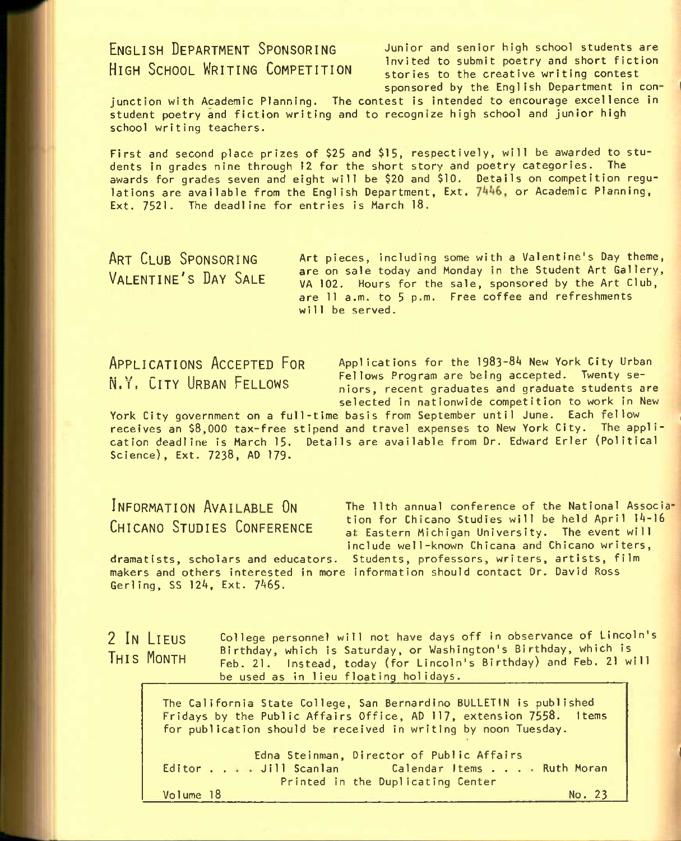**ENGLISH DEPARTMENT SPONSORING** Junior and senior high school students are ENCESSING CONTINUES INSTITUTION Invited to submit poetry and short fiction stories to the creative writing contest sponsored by the English Department in con-

junction with Academic Planning. The contest is intended to encourage excellence in student poetry and fiction writing and to recognize high school and junior high school writing teachers.

First and second place prizes of \$25 and \$15, respectively, will be awarded to students In grades nine through 12 for the short story and poetry categories. The awards for grades seven and eight will be \$20 and \$10. Details on competition regulations are available from the English Department, Ext. 7446, or Academic Planning, Ext. 7521. The deadline for entries is March 18.

**ART CLUB SPONSORING VALENTINE'S DAY SALE**  Art pieces, Including some with a Valentine's Day theme, are on sale today and Monday in the Student Art Gallery, VA 102. Hours for the sale, sponsored by the Art Club, are 11 a.m. to 5 p.m. Free coffee and refreshments will be served.

**APPLICATIONS ACCEPTED FOR** Applications for the **I983-8L** New York **city** urban **.. w ~ II r Fellows Program are being accepted. Twenty se**niors, recent graduates and graduate students are selected in nationwide competition to work in New

York City government on a full-time basis from September until June. Each fellow receives an \$8,000 tax-free stipend and travel expenses to New York City. The application deadline is March 15. Details are available from Dr. Edward Erler (Political Science), Ext. 7238, AD 179.

INFORMATION AVAILABLE ON The 11th annual conference of the National Associa-**CHICANO STUDIES CONFERENCE** tion for Chicano Studies will be held April 14-16 at Eastern Michigan University. The event will include well-known Chicana and Chicano writers, dramatists, scholars and educators. Students, professors, writers, artists, film

makers and others Interested in more Information should contact Dr. David Ross Gerling, SS 124, Ext. 7465.

College personnel will not have days off in observance of Lincoln's

**2 IN LIEUS THIS MONTH** 

Birthday, which is Saturday, or Washington's Birthday, which is Feb. 21. Instead, today (for Lincoln's Birthday) and Feb. 21 will be used as in lieu floating holidays.

The California State College, San Bernardino BULLETIN is published Fridays by the Public Affairs Office, AD 117, extension 7558. Items for publication should be received in writing by noon Tuesday.

Editor . . Jill Scanlan Calendar Items . . . Ruth Moran Edna Stelnman, Director of Public Affairs Printed In the Duplicating Center No. 23

Volume 18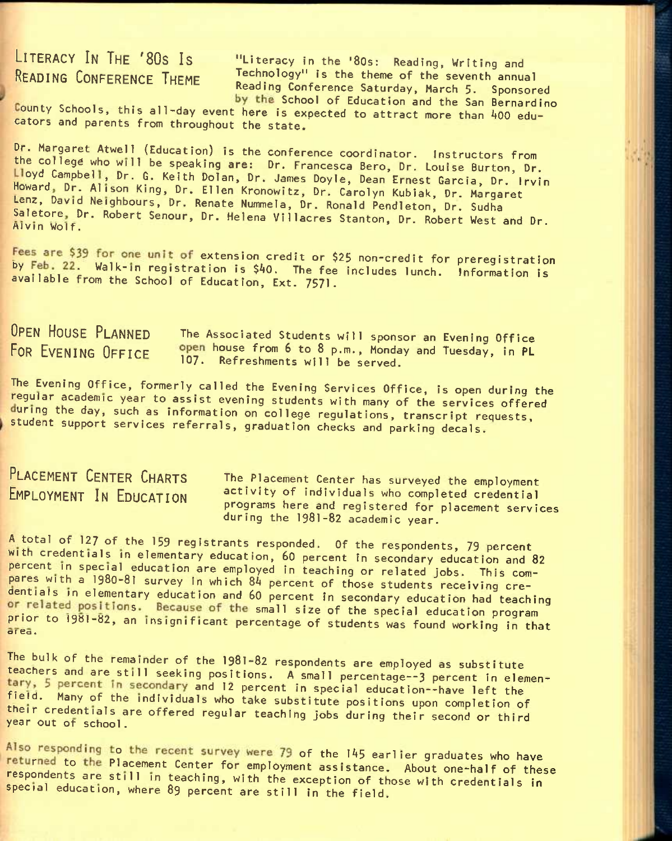**LITERACY IN THE '80S IS** "Literacy in the **'80s;** Reading, Writing and **READING CONFERENCE THEME** Technology" is the theme of the seventh annual Reading Conference Saturday, March 5. Sponsored by the School of Education and the San Bernardino

ounty Schools, this all-day event here Is expected to attract more than *kOO* educators and parents from throughout the state.

Dr. Margaret Atwell (Education) is the conference coordinator. Instructors from the college who will be speaking are: Dr. Francesca Bero, Dr. Louise Burton, Dr. Lloyd Campbell, Dr. G. Keith Dolan, Dr. James Doyle, Dean Ernest Garcia, Dr. Irvin Howard, Dr. Alison King, Dr. Ellen Kronowitz, Dr. Carolyn Kubiak, Dr. Margaret Lenz, David Neighbours, Dr. Renate Nummela, Dr. Ronald Pendleton, Dr. Sudha saletore, Dr. Robert Senour, Dr. Helena Villacres Stanton, Dr. Robert West and Dr.<br>Alvin Wolf.

Fees are \$39 for one unit of extension credit or \$25 non-credit for preregistration by Feb. 22. Walk-in registration is \$40. The fee includes lunch. Information is available from the School of Education, Ext. 7571.

OPEN HOUSE PLANNED The Associated Students will sponsor an Evening Office<br>FOR EVENING OFFICE Open house from 6 to 8 p.m., Monday and Tuesday, in PL open house from 6 to 8 p.m., Monday and Tuesday, in PL 107. Refreshments will be served.

The Evening Office, formerly called the Evening Services Office, is open during the regular academic year to assist evening students with many of the services offered during the day, such as information on college regulations, transcript requests, student support services referrals, graduation checks and parking decals.

**PLACEMENT CENTER CHARTS** The placement center has surveyed the employment **EMPLOYMENT IN EDUCATION** activity of individuals who completed credential programs here and registered for placement services during the 1981-82 academic year.

A total of 127 of the 159 registrants responded. Of the respondents, 79 percent with credentials in elementary education, 60 percent in secondary education and 82 percent in special education are employed in teaching or related jobs. This compares with a 1980-81 survey in which 84 percent of those students receiving credentials in elementary education and 60 percent in secondary education had teaching or related positions. Because of the small size of the special education program prior to 1981-82, an insignificant percentage of students was found working in that area.

The bulk of the remainder of the 1981-82 respondents are employed as substitute teachers and are still seeking positions. A small percentage--3 percent in elementary, 5 percent in secondary and 12 percent in special education--have left the tield. Many of the individuals who take substitute positions upon completion of their credentials are offered regular teaching jobs during their second or third year out of school.

Also responding to the recent survey were 79 of the 145 earlier graduates who have returned to the Placement Center for employment assistance. About one-half of these respondents are still in teaching, with the exception of those with credentials in special education, where 89 percent are still in the field.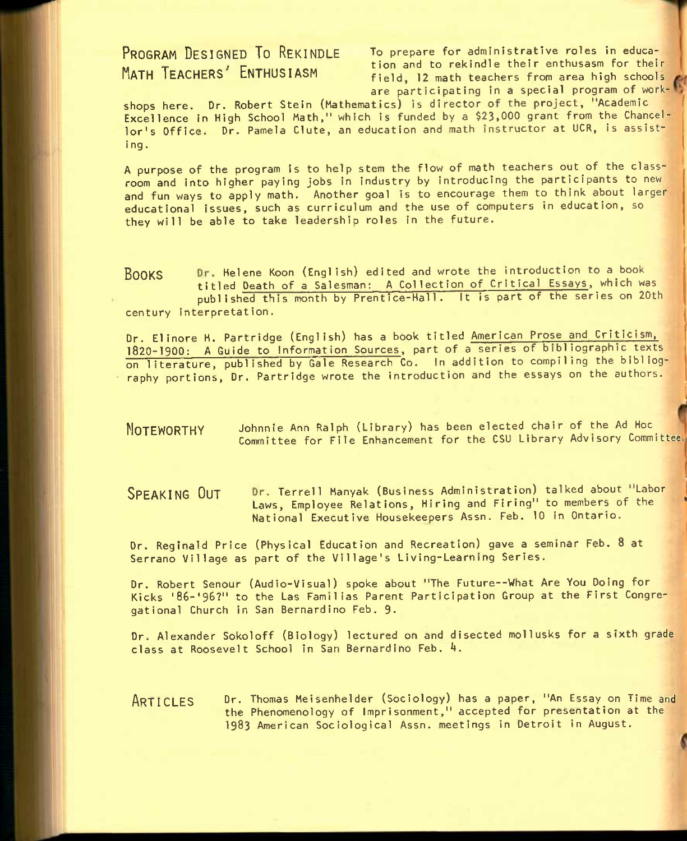**PROGRAM DESIGNED TO REKINDLE TO** prepare for administrative roles in educa- MATH TEACHERS' ENTHUSIASM tion and to rekindle their enthusasm for their field, 12 math teachers from area high schools are participating in a special program of work-

shops here. Dr. Robert Stein (Mathematics) is director of the project, "Academic Excellence in High School Math," which is funded by a \$23,000 grant from the Chancellor's Office. Dr. Pamela Clute, an education and math instructor at UCR, is assist-<br>ing.

A purpose of the program is to help stem the flow of math teachers out of the classroom and into higher paying Jobs in industry by introducing the participants to new and fun ways to apply math. Another goal is to encourage them to think about larger educational issues, such as curriculum and the use of computers in education, so they will be able to take leadership roles in the future.

BOOKS Dr. Helene Koon (English) edited and wrote the introduction to a book titled Death of a Salesman: A Collection of Critical Essays, which was published this month by Prentice-Hall. It is part of the series on 20th century interpretation.

Dr. Elinore H. Partridge (English) has a book titled American Prose and Criticism, **I82O**-I9OO: A Guide to Information Sources, part of a series of bibliographic texts on literature, published by Gale Research Co. In addition to compiling the bibliography portions. Dr. Partridge wrote the introduction and the essays on the authors.

**NOTEWORTHY** Johnnie Ann Ralph (Library) has been elected chair of the Ad Hoc Committee for File Enhancement for the CSU Library Advisory Committee.

SPEAKING OUT Dr. Terrell Manyak (Business Administration) talked about "Labor Laws, Employee Relations, Hiring and Firing" to members of the National Executive Housekeepers Assn. Feb. 10 in Ontario.

Dr. Reginald Price (Physical Education and Recreation) gave a seminar Feb. 8 at Serrano Village as part of the Village's Living-Learning Series.

Dr. Robert Senour (Audio-Visual) spoke about "The Future--What Are You Doing for Kicks '86-'96?" to the Las Famtlias Parent Participation Group at the First Congregational Church in San Bernardino Feb. 9.

Dr. Alexander Sokoloff (Biology) lectured on and disected mollusks for a sixth grade class at Roosevelt School in San Bernardino Feb. 4.

**ARTICLES** Dr. Thomas Meisenhelder (Sociology) has a paper, "An Essay on Time and the Phenomenology of Imprisonment," accepted for presentation at the 1983 American Sociological Assn. meetings in Detroit in August.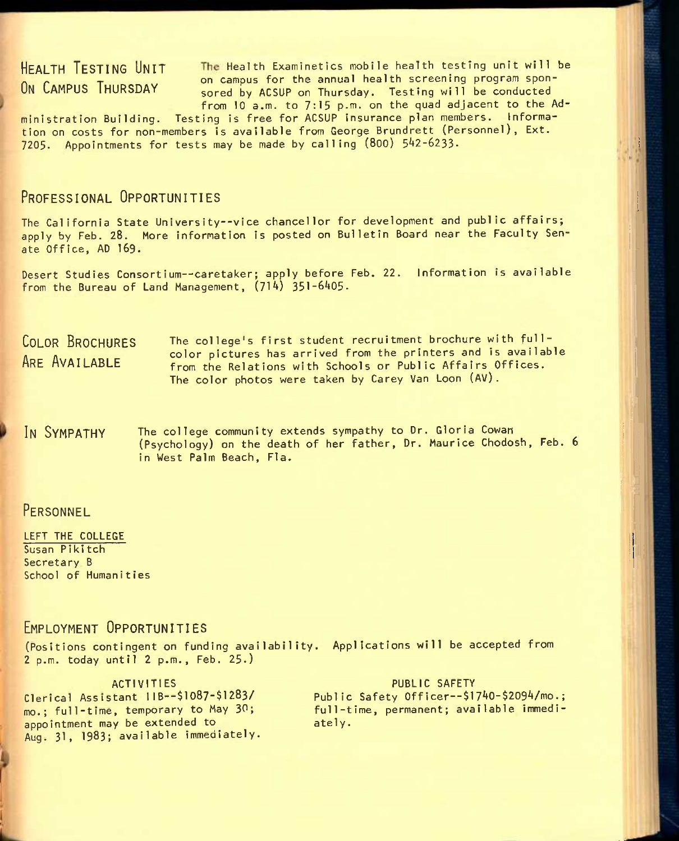HEALTH TESTING UNIT The Health Examinetics mobile health testing unit will be **P -P -P on campus for the annual health screening program spon-**<br>On CAMPUS THURSDAY **Research Line ASSUP on Thursday** Testing will be conducted sored by ACSUP on Thursday. Testing will be conducted from 10 a.m. to 7:15 p.m. on the quad adjacent to the Ad-

ministration Building. Testing is free for ACSUP insurance plan members. Information on costs for non-members is available from George Brundrett (Personnel), Ext. 7205. Appointments for tests may be made by calling (800) 542-6233.

### **PROFESSIONAL OPPORTUNITIES**

The California State University--vice chancellor for development and public affairs; apply by Feb. 28. More information is posted on Bulletin Board near the Faculty Senate Office, AD 169.

Desert Studies Consortium--caretaker; apply before Feb. 22. Information is available from the Bureau of Land Management,  $(714)$  351-6405.

**COLOR BROCHURES ARE AVAILABLE**  The college's first student recruitment brochure with fullcolor pictures has arrived from the printers and is available from the Relations with Schools or Public Affairs Offices. The color photos were taken by Carey Van Loon (AV).

**IN SYMPATHY** The college community extends sympathy to Dr. Gloria Cowan (Psychology) on the death of her father. Dr. Maurice Chodosh, Feb. 6 in West Palm Beach, Fla.

### **PERSONNEL**

LEFT THE COLLEGE Susan Pikitch Secretary B School of Humanities

### **EMPLOYMENT OPPORTUNITIES**

(Positions contingent on funding availability. Applications will be accepted from 2 p.m. today until 2 p.m., Feb. 25.)

ACTIVITIES Clerical Assistant 1IB--\$1087-\$1283/ mo,; full-time, temporary to May 30; appointment may be extended to Aug. 31, 1983; available immediately.

PUBLIC SAFETY Public Safety Officer--\$1740-\$2094/mo.; full-time, permanent; available immediately.